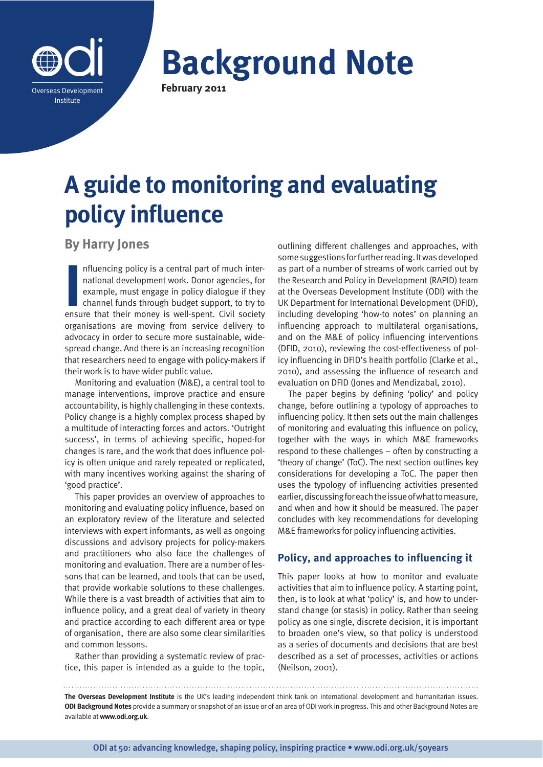

**Background Note February 2011**

# **A guide to monitoring and evaluating policy influence**

# **By Harry Jones**

Influencing policy is a central part of much international development work. Donor agencies, for example, must engage in policy dialogue if they channel funds through budget support, to try to ensure that their money is we nfluencing policy is a central part of much international development work. Donor agencies, for example, must engage in policy dialogue if they channel funds through budget support, to try to organisations are moving from service delivery to advocacy in order to secure more sustainable, widespread change. And there is an increasing recognition that researchers need to engage with policy-makers if their work is to have wider public value.

Monitoring and evaluation (M&E), a central tool to manage interventions, improve practice and ensure accountability, is highly challenging in these contexts. Policy change is a highly complex process shaped by a multitude of interacting forces and actors. 'Outright success', in terms of achieving specific, hoped-for changes is rare, and the work that does influence policy is often unique and rarely repeated or replicated, with many incentives working against the sharing of 'good practice'.

This paper provides an overview of approaches to monitoring and evaluating policy influence, based on an exploratory review of the literature and selected interviews with expert informants, as well as ongoing discussions and advisory projects for policy-makers and practitioners who also face the challenges of monitoring and evaluation. There are a number of lessons that can be learned, and tools that can be used, that provide workable solutions to these challenges. While there is a vast breadth of activities that aim to influence policy, and a great deal of variety in theory and practice according to each different area or type of organisation, there are also some clear similarities and common lessons.

Rather than providing a systematic review of practice, this paper is intended as a guide to the topic, outlining different challenges and approaches, with some suggestions for further reading. It was developed as part of a number of streams of work carried out by the Research and Policy in Development (RAPID) team at the Overseas Development Institute (ODI) with the UK Department for International Development (DFID), including developing 'how-to notes' on planning an influencing approach to multilateral organisations, and on the M&E of policy influencing interventions (DFID, 2010), reviewing the cost-effectiveness of policy influencing in DFID's health portfolio (Clarke et al., 2010), and assessing the influence of research and evaluation on DFID (Jones and Mendizabal, 2010).

The paper begins by defining 'policy' and policy change, before outlining a typology of approaches to influencing policy. It then sets out the main challenges of monitoring and evaluating this influence on policy, together with the ways in which M&E frameworks respond to these challenges – often by constructing a 'theory of change' (ToC). The next section outlines key considerations for developing a ToC. The paper then uses the typology of influencing activities presented earlier, discussing for each the issue of what to measure, and when and how it should be measured. The paper concludes with key recommendations for developing M&E frameworks for policy influencing activities.

# **Policy, and approaches to influencing it**

This paper looks at how to monitor and evaluate activities that aim to influence policy. A starting point, then, is to look at what 'policy' is, and how to understand change (or stasis) in policy. Rather than seeing policy as one single, discrete decision, it is important to broaden one's view, so that policy is understood as a series of documents and decisions that are best described as a set of processes, activities or actions (Neilson, 2001).

**The Overseas Development Institute** is the UK's leading independent think tank on international development and humanitarian issues. **ODI Background Notes** provide a summary or snapshot of an issue or of an area of ODI work in progress. This and other Background Notes are available at **www.odi.org.uk**.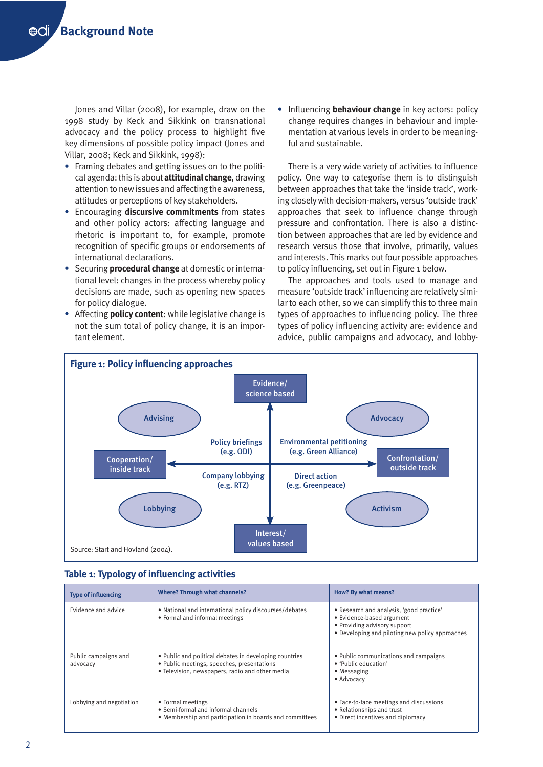Jones and Villar (2008), for example, draw on the 1998 study by Keck and Sikkink on transnational advocacy and the policy process to highlight five key dimensions of possible policy impact (Jones and Villar, 2008; Keck and Sikkink, 1998):

- Framing debates and getting issues on to the political agenda: this is about **attitudinal change**, drawing attention to new issues and affecting the awareness, attitudes or perceptions of key stakeholders.
- Encouraging **discursive commitments** from states and other policy actors: affecting language and rhetoric is important to, for example, promote recognition of specific groups or endorsements of international declarations.
- Securing **procedural change** at domestic or international level: changes in the process whereby policy decisions are made, such as opening new spaces for policy dialogue.
- Affecting **policy content**: while legislative change is not the sum total of policy change, it is an important element.

**•** Influencing **behaviour change** in key actors: policy change requires changes in behaviour and implementation at various levels in order to be meaningful and sustainable.

There is a very wide variety of activities to influence policy. One way to categorise them is to distinguish between approaches that take the 'inside track', working closely with decision-makers, versus 'outside track' approaches that seek to influence change through pressure and confrontation. There is also a distinction between approaches that are led by evidence and research versus those that involve, primarily, values and interests. This marks out four possible approaches to policy influencing, set out in Figure 1 below.

The approaches and tools used to manage and measure 'outside track' influencing are relatively similar to each other, so we can simplify this to three main types of approaches to influencing policy. The three types of policy influencing activity are: evidence and advice, public campaigns and advocacy, and lobby-



|  |  | <b>Table 1: Typology of influencing activities</b> |  |
|--|--|----------------------------------------------------|--|
|--|--|----------------------------------------------------|--|

| <b>Type of influencing</b>       | <b>Where? Through what channels?</b>                                                                                                                    | How? By what means?                                                                                                                                      |
|----------------------------------|---------------------------------------------------------------------------------------------------------------------------------------------------------|----------------------------------------------------------------------------------------------------------------------------------------------------------|
| Evidence and advice              | • National and international policy discourses/debates<br>• Formal and informal meetings                                                                | • Research and analysis, 'good practice'<br>• Evidence-based argument<br>• Providing advisory support<br>• Developing and piloting new policy approaches |
| Public campaigns and<br>advocacy | • Public and political debates in developing countries<br>• Public meetings, speeches, presentations<br>• Television, newspapers, radio and other media | • Public communications and campaigns<br>• 'Public education'<br>• Messaging<br>• Advocacy                                                               |
| Lobbying and negotiation         | • Formal meetings<br>• Semi-formal and informal channels<br>• Membership and participation in boards and committees                                     | • Face-to-face meetings and discussions<br>• Relationships and trust<br>• Direct incentives and diplomacy                                                |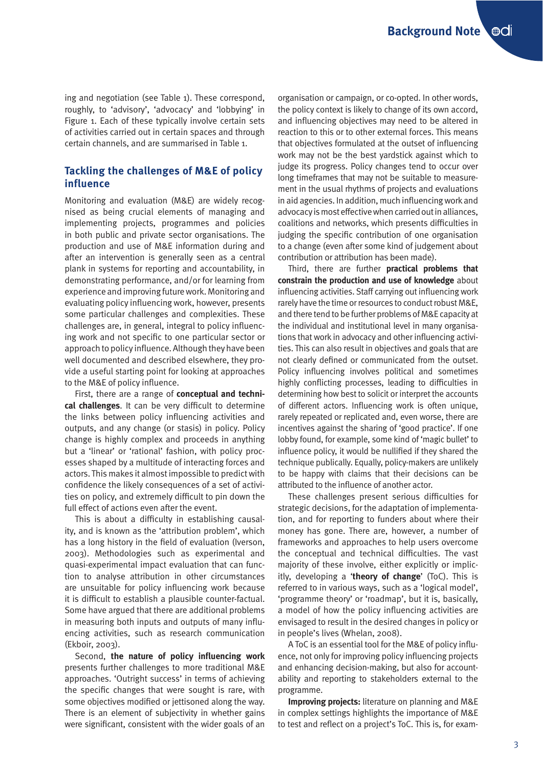ing and negotiation (see Table 1). These correspond, roughly, to 'advisory', 'advocacy' and 'lobbying' in Figure 1. Each of these typically involve certain sets of activities carried out in certain spaces and through certain channels, and are summarised in Table 1.

## **Tackling the challenges of M&E of policy influence**

Monitoring and evaluation (M&E) are widely recognised as being crucial elements of managing and implementing projects, programmes and policies in both public and private sector organisations. The production and use of M&E information during and after an intervention is generally seen as a central plank in systems for reporting and accountability, in demonstrating performance, and/or for learning from experience and improving future work. Monitoring and evaluating policy influencing work, however, presents some particular challenges and complexities. These challenges are, in general, integral to policy influencing work and not specific to one particular sector or approach to policy influence. Although they have been well documented and described elsewhere, they provide a useful starting point for looking at approaches to the M&E of policy influence.

First, there are a range of **conceptual and technical challenges**. It can be very difficult to determine the links between policy influencing activities and outputs, and any change (or stasis) in policy. Policy change is highly complex and proceeds in anything but a 'linear' or 'rational' fashion, with policy processes shaped by a multitude of interacting forces and actors. This makes it almost impossible to predict with confidence the likely consequences of a set of activities on policy, and extremely difficult to pin down the full effect of actions even after the event.

This is about a difficulty in establishing causality, and is known as the 'attribution problem', which has a long history in the field of evaluation (Iverson, 2003). Methodologies such as experimental and quasi-experimental impact evaluation that can function to analyse attribution in other circumstances are unsuitable for policy influencing work because it is difficult to establish a plausible counter-factual. Some have argued that there are additional problems in measuring both inputs and outputs of many influencing activities, such as research communication (Ekboir, 2003).

Second, **the nature of policy influencing work** presents further challenges to more traditional M&E approaches. 'Outright success' in terms of achieving the specific changes that were sought is rare, with some objectives modified or jettisoned along the way. There is an element of subjectivity in whether gains were significant, consistent with the wider goals of an

organisation or campaign, or co-opted. In other words, the policy context is likely to change of its own accord, and influencing objectives may need to be altered in reaction to this or to other external forces. This means that objectives formulated at the outset of influencing work may not be the best yardstick against which to judge its progress. Policy changes tend to occur over long timeframes that may not be suitable to measurement in the usual rhythms of projects and evaluations in aid agencies. In addition, much influencing work and advocacy is most effective when carried out in alliances, coalitions and networks, which presents difficulties in judging the specific contribution of one organisation to a change (even after some kind of judgement about contribution or attribution has been made).

Third, there are further **practical problems that constrain the production and use of knowledge** about influencing activities. Staff carrying out influencing work rarely have the time or resources to conduct robust M&E, and there tend to be further problems of M&E capacity at the individual and institutional level in many organisations that work in advocacy and other influencing activities. This can also result in objectives and goals that are not clearly defined or communicated from the outset. Policy influencing involves political and sometimes highly conflicting processes, leading to difficulties in determining how best to solicit or interpret the accounts of different actors. Influencing work is often unique, rarely repeated or replicated and, even worse, there are incentives against the sharing of 'good practice'. If one lobby found, for example, some kind of 'magic bullet' to influence policy, it would be nullified if they shared the technique publically. Equally, policy-makers are unlikely to be happy with claims that their decisions can be attributed to the influence of another actor.

These challenges present serious difficulties for strategic decisions, for the adaptation of implementation, and for reporting to funders about where their money has gone. There are, however, a number of frameworks and approaches to help users overcome the conceptual and technical difficulties. The vast majority of these involve, either explicitly or implicitly, developing a '**theory of change**' (ToC). This is referred to in various ways, such as a 'logical model', 'programme theory' or 'roadmap', but it is, basically, a model of how the policy influencing activities are envisaged to result in the desired changes in policy or in people's lives (Whelan, 2008).

A ToC is an essential tool for the M&E of policy influence, not only for improving policy influencing projects and enhancing decision-making, but also for accountability and reporting to stakeholders external to the programme.

**Improving projects:** literature on planning and M&E in complex settings highlights the importance of M&E to test and reflect on a project's ToC. This is, for exam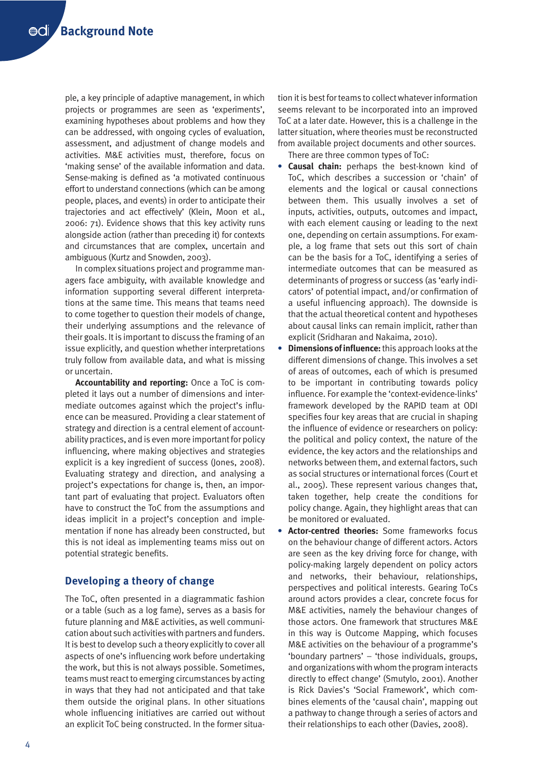ple, a key principle of adaptive management, in which projects or programmes are seen as 'experiments', examining hypotheses about problems and how they can be addressed, with ongoing cycles of evaluation, assessment, and adjustment of change models and activities. M&E activities must, therefore, focus on 'making sense' of the available information and data. Sense-making is defined as 'a motivated continuous effort to understand connections (which can be among people, places, and events) in order to anticipate their trajectories and act effectively' (Klein, Moon et al., 2006: 71). Evidence shows that this key activity runs alongside action (rather than preceding it) for contexts and circumstances that are complex, uncertain and ambiguous (Kurtz and Snowden, 2003).

In complex situations project and programme managers face ambiguity, with available knowledge and information supporting several different interpretations at the same time. This means that teams need to come together to question their models of change, their underlying assumptions and the relevance of their goals. It is important to discuss the framing of an issue explicitly, and question whether interpretations truly follow from available data, and what is missing or uncertain.

**Accountability and reporting:** Once a ToC is completed it lays out a number of dimensions and intermediate outcomes against which the project's influence can be measured. Providing a clear statement of strategy and direction is a central element of accountability practices, and is even more important for policy influencing, where making objectives and strategies explicit is a key ingredient of success (Jones, 2008). Evaluating strategy and direction, and analysing a project's expectations for change is, then, an important part of evaluating that project. Evaluators often have to construct the ToC from the assumptions and ideas implicit in a project's conception and implementation if none has already been constructed, but this is not ideal as implementing teams miss out on potential strategic benefits.

# **Developing a theory of change**

The ToC, often presented in a diagrammatic fashion or a table (such as a log fame), serves as a basis for future planning and M&E activities, as well communication about such activities with partners and funders. It is best to develop such a theory explicitly to cover all aspects of one's influencing work before undertaking the work, but this is not always possible. Sometimes, teams must react to emerging circumstances by acting in ways that they had not anticipated and that take them outside the original plans. In other situations whole influencing initiatives are carried out without an explicit ToC being constructed. In the former situa-

tion it is best for teams to collect whatever information seems relevant to be incorporated into an improved ToC at a later date. However, this is a challenge in the latter situation, where theories must be reconstructed from available project documents and other sources.

There are three common types of ToC:

- **Causal chain:** perhaps the best-known kind of ToC, which describes a succession or 'chain' of elements and the logical or causal connections between them. This usually involves a set of inputs, activities, outputs, outcomes and impact, with each element causing or leading to the next one, depending on certain assumptions. For example, a log frame that sets out this sort of chain can be the basis for a ToC, identifying a series of intermediate outcomes that can be measured as determinants of progress or success (as 'early indicators' of potential impact, and/or confirmation of a useful influencing approach). The downside is that the actual theoretical content and hypotheses about causal links can remain implicit, rather than explicit (Sridharan and Nakaima, 2010).
- **Dimensions of influence:** this approach looks at the different dimensions of change. This involves a set of areas of outcomes, each of which is presumed to be important in contributing towards policy influence. For example the 'context-evidence-links' framework developed by the RAPID team at ODI specifies four key areas that are crucial in shaping the influence of evidence or researchers on policy: the political and policy context, the nature of the evidence, the key actors and the relationships and networks between them, and external factors, such as social structures or international forces (Court et al., 2005). These represent various changes that, taken together, help create the conditions for policy change. Again, they highlight areas that can be monitored or evaluated.
- **Actor-centred theories:** Some frameworks focus on the behaviour change of different actors. Actors are seen as the key driving force for change, with policy-making largely dependent on policy actors and networks, their behaviour, relationships, perspectives and political interests. Gearing ToCs around actors provides a clear, concrete focus for M&E activities, namely the behaviour changes of those actors. One framework that structures M&E in this way is Outcome Mapping, which focuses M&E activities on the behaviour of a programme's 'boundary partners' – 'those individuals, groups, and organizations with whom the program interacts directly to effect change' (Smutylo, 2001). Another is Rick Davies's 'Social Framework', which combines elements of the 'causal chain', mapping out a pathway to change through a series of actors and their relationships to each other (Davies, 2008).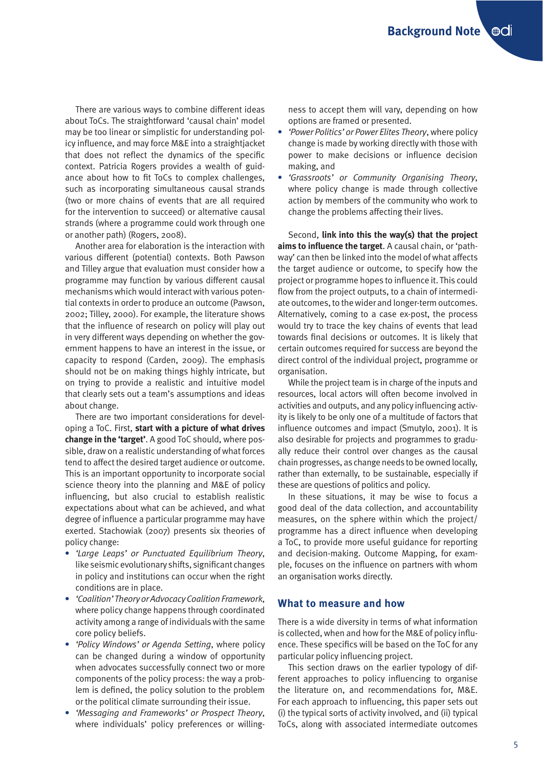There are various ways to combine different ideas about ToCs. The straightforward 'causal chain' model may be too linear or simplistic for understanding policy influence, and may force M&E into a straightjacket that does not reflect the dynamics of the specific context. Patricia Rogers provides a wealth of guidance about how to fit ToCs to complex challenges, such as incorporating simultaneous causal strands (two or more chains of events that are all required for the intervention to succeed) or alternative causal strands (where a programme could work through one or another path) (Rogers, 2008).

Another area for elaboration is the interaction with various different (potential) contexts. Both Pawson and Tilley argue that evaluation must consider how a programme may function by various different causal mechanisms which would interact with various potential contexts in order to produce an outcome (Pawson, 2002; Tilley, 2000). For example, the literature shows that the influence of research on policy will play out in very different ways depending on whether the government happens to have an interest in the issue, or capacity to respond (Carden, 2009). The emphasis should not be on making things highly intricate, but on trying to provide a realistic and intuitive model that clearly sets out a team's assumptions and ideas about change.

There are two important considerations for developing a ToC. First, **start with a picture of what drives change in the 'target'**. A good ToC should, where possible, draw on a realistic understanding of what forces tend to affect the desired target audience or outcome. This is an important opportunity to incorporate social science theory into the planning and M&E of policy influencing, but also crucial to establish realistic expectations about what can be achieved, and what degree of influence a particular programme may have exerted. Stachowiak (2007) presents six theories of policy change:

- *'Large Leaps' or Punctuated Equilibrium Theory*, like seismic evolutionary shifts, significant changes in policy and institutions can occur when the right conditions are in place.
- *'Coalition' Theory or Advocacy Coalition Framework*, where policy change happens through coordinated activity among a range of individuals with the same core policy beliefs.
- *'Policy Windows' or Agenda Setting*, where policy can be changed during a window of opportunity when advocates successfully connect two or more components of the policy process: the way a problem is defined, the policy solution to the problem or the political climate surrounding their issue.
- *'Messaging and Frameworks' or Prospect Theory*, where individuals' policy preferences or willing-

ness to accept them will vary, depending on how options are framed or presented.

- *'Power Politics' or Power Elites Theory*, where policy change is made by working directly with those with power to make decisions or influence decision making, and
- *'Grassroots' or Community Organising Theory*, where policy change is made through collective action by members of the community who work to change the problems affecting their lives.

Second, **link into this the way(s) that the project aims to influence the target**. A causal chain, or 'pathway' can then be linked into the model of what affects the target audience or outcome, to specify how the project or programme hopes to influence it. This could flow from the project outputs, to a chain of intermediate outcomes, to the wider and longer-term outcomes. Alternatively, coming to a case ex-post, the process would try to trace the key chains of events that lead towards final decisions or outcomes. It is likely that certain outcomes required for success are beyond the direct control of the individual project, programme or organisation.

While the project team is in charge of the inputs and resources, local actors will often become involved in activities and outputs, and any policy influencing activity is likely to be only one of a multitude of factors that influence outcomes and impact (Smutylo, 2001). It is also desirable for projects and programmes to gradually reduce their control over changes as the causal chain progresses, as change needs to be owned locally, rather than externally, to be sustainable, especially if these are questions of politics and policy.

In these situations, it may be wise to focus a good deal of the data collection, and accountability measures, on the sphere within which the project/ programme has a direct influence when developing a ToC, to provide more useful guidance for reporting and decision-making. Outcome Mapping, for example, focuses on the influence on partners with whom an organisation works directly.

## **What to measure and how**

There is a wide diversity in terms of what information is collected, when and how for the M&E of policy influence. These specifics will be based on the ToC for any particular policy influencing project.

This section draws on the earlier typology of different approaches to policy influencing to organise the literature on, and recommendations for, M&E. For each approach to influencing, this paper sets out (i) the typical sorts of activity involved, and (ii) typical ToCs, along with associated intermediate outcomes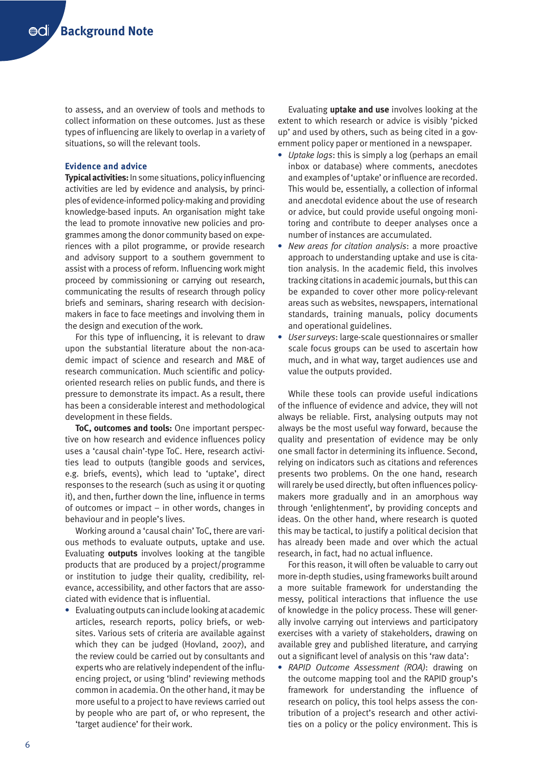to assess, and an overview of tools and methods to collect information on these outcomes. Just as these types of influencing are likely to overlap in a variety of situations, so will the relevant tools.

## **Evidence and advice**

**Typical activities:** In some situations, policy influencing activities are led by evidence and analysis, by principles of evidence-informed policy-making and providing knowledge-based inputs. An organisation might take the lead to promote innovative new policies and programmes among the donor community based on experiences with a pilot programme, or provide research and advisory support to a southern government to assist with a process of reform. Influencing work might proceed by commissioning or carrying out research, communicating the results of research through policy briefs and seminars, sharing research with decisionmakers in face to face meetings and involving them in the design and execution of the work.

For this type of influencing, it is relevant to draw upon the substantial literature about the non-academic impact of science and research and M&E of research communication. Much scientific and policyoriented research relies on public funds, and there is pressure to demonstrate its impact. As a result, there has been a considerable interest and methodological development in these fields.

**ToC, outcomes and tools:** One important perspective on how research and evidence influences policy uses a 'causal chain'-type ToC. Here, research activities lead to outputs (tangible goods and services, e.g. briefs, events), which lead to 'uptake', direct responses to the research (such as using it or quoting it), and then, further down the line, influence in terms of outcomes or impact – in other words, changes in behaviour and in people's lives.

Working around a 'causal chain' ToC, there are various methods to evaluate outputs, uptake and use. Evaluating **outputs** involves looking at the tangible products that are produced by a project/programme or institution to judge their quality, credibility, relevance, accessibility, and other factors that are associated with evidence that is influential.

 Evaluating outputs can include looking at academic articles, research reports, policy briefs, or websites. Various sets of criteria are available against which they can be judged (Hovland, 2007), and the review could be carried out by consultants and experts who are relatively independent of the influencing project, or using 'blind' reviewing methods common in academia. On the other hand, it may be more useful to a project to have reviews carried out by people who are part of, or who represent, the 'target audience' for their work.

Evaluating **uptake and use** involves looking at the extent to which research or advice is visibly 'picked up' and used by others, such as being cited in a government policy paper or mentioned in a newspaper.

- *Uptake logs*: this is simply a log (perhaps an email inbox or database) where comments, anecdotes and examples of 'uptake' or influence are recorded. This would be, essentially, a collection of informal and anecdotal evidence about the use of research or advice, but could provide useful ongoing monitoring and contribute to deeper analyses once a number of instances are accumulated.
- *New areas for citation analysis*: a more proactive approach to understanding uptake and use is citation analysis. In the academic field, this involves tracking citations in academic journals, but this can be expanded to cover other more policy-relevant areas such as websites, newspapers, international standards, training manuals, policy documents and operational guidelines.
- *User surveys*: large-scale questionnaires or smaller scale focus groups can be used to ascertain how much, and in what way, target audiences use and value the outputs provided.

While these tools can provide useful indications of the influence of evidence and advice, they will not always be reliable. First, analysing outputs may not always be the most useful way forward, because the quality and presentation of evidence may be only one small factor in determining its influence. Second, relying on indicators such as citations and references presents two problems. On the one hand, research will rarely be used directly, but often influences policymakers more gradually and in an amorphous way through 'enlightenment', by providing concepts and ideas. On the other hand, where research is quoted this may be tactical, to justify a political decision that has already been made and over which the actual research, in fact, had no actual influence.

For this reason, it will often be valuable to carry out more in-depth studies, using frameworks built around a more suitable framework for understanding the messy, political interactions that influence the use of knowledge in the policy process. These will generally involve carrying out interviews and participatory exercises with a variety of stakeholders, drawing on available grey and published literature, and carrying out a significant level of analysis on this 'raw data':

 *RAPID Outcome Assessment (ROA)*: drawing on the outcome mapping tool and the RAPID group's framework for understanding the influence of research on policy, this tool helps assess the contribution of a project's research and other activities on a policy or the policy environment. This is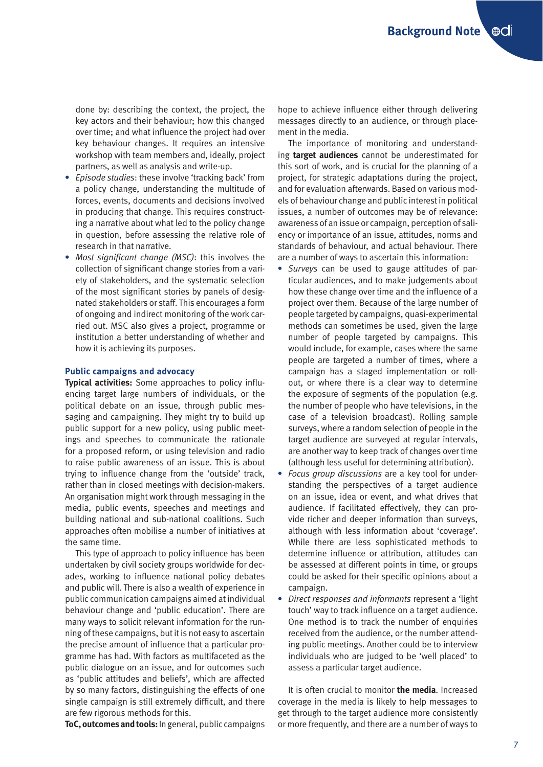done by: describing the context, the project, the key actors and their behaviour; how this changed over time; and what influence the project had over key behaviour changes. It requires an intensive workshop with team members and, ideally, project partners, as well as analysis and write-up.

- *Episode studies*: these involve 'tracking back' from a policy change, understanding the multitude of forces, events, documents and decisions involved in producing that change. This requires constructing a narrative about what led to the policy change in question, before assessing the relative role of research in that narrative.
- *Most significant change (MSC)*: this involves the collection of significant change stories from a variety of stakeholders, and the systematic selection of the most significant stories by panels of designated stakeholders or staff. This encourages a form of ongoing and indirect monitoring of the work carried out. MSC also gives a project, programme or institution a better understanding of whether and how it is achieving its purposes.

#### **Public campaigns and advocacy**

**Typical activities:** Some approaches to policy influencing target large numbers of individuals, or the political debate on an issue, through public messaging and campaigning. They might try to build up public support for a new policy, using public meetings and speeches to communicate the rationale for a proposed reform, or using television and radio to raise public awareness of an issue. This is about trying to influence change from the 'outside' track, rather than in closed meetings with decision-makers. An organisation might work through messaging in the media, public events, speeches and meetings and building national and sub-national coalitions. Such approaches often mobilise a number of initiatives at the same time.

This type of approach to policy influence has been undertaken by civil society groups worldwide for decades, working to influence national policy debates and public will. There is also a wealth of experience in public communication campaigns aimed at individual behaviour change and 'public education'. There are many ways to solicit relevant information for the running of these campaigns, but it is not easy to ascertain the precise amount of influence that a particular programme has had. With factors as multifaceted as the public dialogue on an issue, and for outcomes such as 'public attitudes and beliefs', which are affected by so many factors, distinguishing the effects of one single campaign is still extremely difficult, and there are few rigorous methods for this.

**ToC, outcomes and tools:** In general, public campaigns

hope to achieve influence either through delivering messages directly to an audience, or through placement in the media.

The importance of monitoring and understanding **target audiences** cannot be underestimated for this sort of work, and is crucial for the planning of a project, for strategic adaptations during the project, and for evaluation afterwards. Based on various models of behaviour change and public interest in political issues, a number of outcomes may be of relevance: awareness of an issue or campaign, perception of saliency or importance of an issue, attitudes, norms and standards of behaviour, and actual behaviour. There are a number of ways to ascertain this information:

- *Surveys* can be used to gauge attitudes of particular audiences, and to make judgements about how these change over time and the influence of a project over them. Because of the large number of people targeted by campaigns, quasi-experimental methods can sometimes be used, given the large number of people targeted by campaigns. This would include, for example, cases where the same people are targeted a number of times, where a campaign has a staged implementation or rollout, or where there is a clear way to determine the exposure of segments of the population (e.g. the number of people who have televisions, in the case of a television broadcast). Rolling sample surveys, where a random selection of people in the target audience are surveyed at regular intervals, are another way to keep track of changes over time (although less useful for determining attribution).
- *Focus group discussions* are a key tool for understanding the perspectives of a target audience on an issue, idea or event, and what drives that audience. If facilitated effectively, they can provide richer and deeper information than surveys, although with less information about 'coverage'. While there are less sophisticated methods to determine influence or attribution, attitudes can be assessed at different points in time, or groups could be asked for their specific opinions about a campaign.
- *Direct responses and informants* represent a 'light touch' way to track influence on a target audience. One method is to track the number of enquiries received from the audience, or the number attending public meetings. Another could be to interview individuals who are judged to be 'well placed' to assess a particular target audience.

It is often crucial to monitor **the media**. Increased coverage in the media is likely to help messages to get through to the target audience more consistently or more frequently, and there are a number of ways to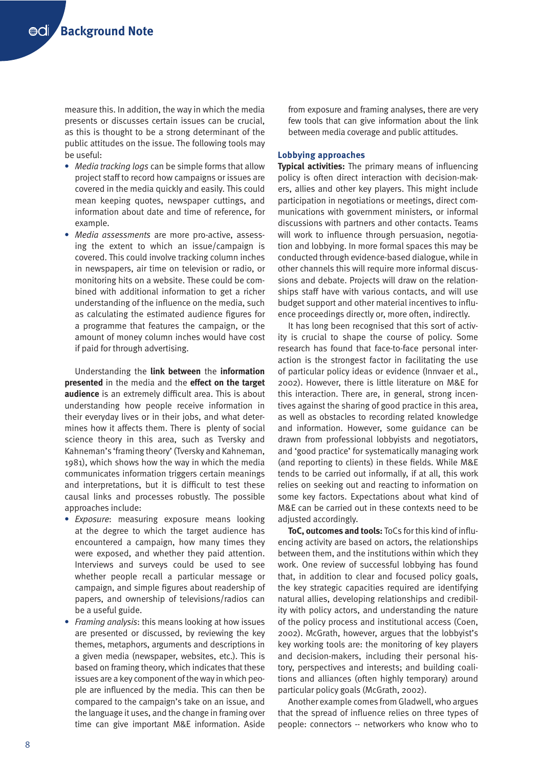measure this. In addition, the way in which the media presents or discusses certain issues can be crucial, as this is thought to be a strong determinant of the public attitudes on the issue. The following tools may be useful:

- *Media tracking logs* can be simple forms that allow project staff to record how campaigns or issues are covered in the media quickly and easily. This could mean keeping quotes, newspaper cuttings, and information about date and time of reference, for example.
- *Media assessments* are more pro-active, assessing the extent to which an issue/campaign is covered. This could involve tracking column inches in newspapers, air time on television or radio, or monitoring hits on a website. These could be combined with additional information to get a richer understanding of the influence on the media, such as calculating the estimated audience figures for a programme that features the campaign, or the amount of money column inches would have cost if paid for through advertising.

Understanding the **link between** the **information presented** in the media and the **effect on the target audience** is an extremely difficult area. This is about understanding how people receive information in their everyday lives or in their jobs, and what determines how it affects them. There is plenty of social science theory in this area, such as Tversky and Kahneman's 'framing theory' (Tversky and Kahneman, 1981), which shows how the way in which the media communicates information triggers certain meanings and interpretations, but it is difficult to test these causal links and processes robustly. The possible approaches include:

- *Exposure*: measuring exposure means looking at the degree to which the target audience has encountered a campaign, how many times they were exposed, and whether they paid attention. Interviews and surveys could be used to see whether people recall a particular message or campaign, and simple figures about readership of papers, and ownership of televisions/radios can be a useful guide.
- *Framing analysis*: this means looking at how issues are presented or discussed, by reviewing the key themes, metaphors, arguments and descriptions in a given media (newspaper, websites, etc.). This is based on framing theory, which indicates that these issues are a key component of the way in which people are influenced by the media. This can then be compared to the campaign's take on an issue, and the language it uses, and the change in framing over time can give important M&E information. Aside

from exposure and framing analyses, there are very few tools that can give information about the link between media coverage and public attitudes.

#### **Lobbying approaches**

**Typical activities:** The primary means of influencing policy is often direct interaction with decision-makers, allies and other key players. This might include participation in negotiations or meetings, direct communications with government ministers, or informal discussions with partners and other contacts. Teams will work to influence through persuasion, negotiation and lobbying. In more formal spaces this may be conducted through evidence-based dialogue, while in other channels this will require more informal discussions and debate. Projects will draw on the relationships staff have with various contacts, and will use budget support and other material incentives to influence proceedings directly or, more often, indirectly.

It has long been recognised that this sort of activity is crucial to shape the course of policy. Some research has found that face-to-face personal interaction is the strongest factor in facilitating the use of particular policy ideas or evidence (Innvaer et al., 2002). However, there is little literature on M&E for this interaction. There are, in general, strong incentives against the sharing of good practice in this area, as well as obstacles to recording related knowledge and information. However, some guidance can be drawn from professional lobbyists and negotiators, and 'good practice' for systematically managing work (and reporting to clients) in these fields. While M&E tends to be carried out informally, if at all, this work relies on seeking out and reacting to information on some key factors. Expectations about what kind of M&E can be carried out in these contexts need to be adjusted accordingly.

**ToC, outcomes and tools:** ToCs for this kind of influencing activity are based on actors, the relationships between them, and the institutions within which they work. One review of successful lobbying has found that, in addition to clear and focused policy goals, the key strategic capacities required are identifying natural allies, developing relationships and credibility with policy actors, and understanding the nature of the policy process and institutional access (Coen, 2002). McGrath, however, argues that the lobbyist's key working tools are: the monitoring of key players and decision-makers, including their personal history, perspectives and interests; and building coalitions and alliances (often highly temporary) around particular policy goals (McGrath, 2002).

Another example comes from Gladwell, who argues that the spread of influence relies on three types of people: connectors -- networkers who know who to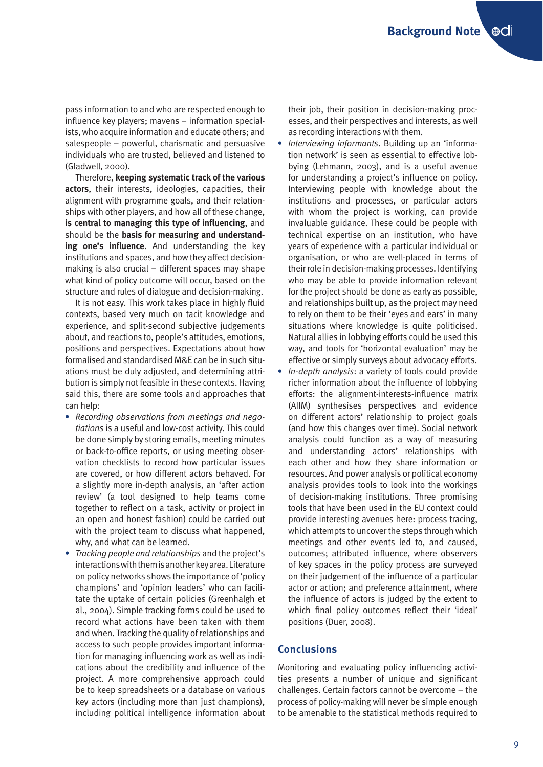pass information to and who are respected enough to influence key players; mavens – information specialists, who acquire information and educate others; and salespeople – powerful, charismatic and persuasive individuals who are trusted, believed and listened to (Gladwell, 2000).

Therefore, **keeping systematic track of the various actors**, their interests, ideologies, capacities, their alignment with programme goals, and their relationships with other players, and how all of these change, **is central to managing this type of influencing**, and should be the **basis for measuring and understanding one's influence**. And understanding the key institutions and spaces, and how they affect decisionmaking is also crucial – different spaces may shape what kind of policy outcome will occur, based on the structure and rules of dialogue and decision-making.

It is not easy. This work takes place in highly fluid contexts, based very much on tacit knowledge and experience, and split-second subjective judgements about, and reactions to, people's attitudes, emotions, positions and perspectives. Expectations about how formalised and standardised M&E can be in such situations must be duly adjusted, and determining attribution is simply not feasible in these contexts. Having said this, there are some tools and approaches that can help:

- *Recording observations from meetings and negotiations* is a useful and low-cost activity. This could be done simply by storing emails, meeting minutes or back-to-office reports, or using meeting observation checklists to record how particular issues are covered, or how different actors behaved. For a slightly more in-depth analysis, an 'after action review' (a tool designed to help teams come together to reflect on a task, activity or project in an open and honest fashion) could be carried out with the project team to discuss what happened, why, and what can be learned.
- *Tracking people and relationships* and the project's interactions with them is another key area. Literature on policy networks shows the importance of 'policy champions' and 'opinion leaders' who can facilitate the uptake of certain policies (Greenhalgh et al., 2004). Simple tracking forms could be used to record what actions have been taken with them and when. Tracking the quality of relationships and access to such people provides important information for managing influencing work as well as indications about the credibility and influence of the project. A more comprehensive approach could be to keep spreadsheets or a database on various key actors (including more than just champions), including political intelligence information about

their job, their position in decision-making processes, and their perspectives and interests, as well as recording interactions with them.

- *Interviewing informants*. Building up an 'information network' is seen as essential to effective lobbying (Lehmann, 2003), and is a useful avenue for understanding a project's influence on policy. Interviewing people with knowledge about the institutions and processes, or particular actors with whom the project is working, can provide invaluable guidance. These could be people with technical expertise on an institution, who have years of experience with a particular individual or organisation, or who are well-placed in terms of their role in decision-making processes. Identifying who may be able to provide information relevant for the project should be done as early as possible, and relationships built up, as the project may need to rely on them to be their 'eyes and ears' in many situations where knowledge is quite politicised. Natural allies in lobbying efforts could be used this way, and tools for 'horizontal evaluation' may be effective or simply surveys about advocacy efforts.
- *In-depth analysis*: a variety of tools could provide richer information about the influence of lobbying efforts: the alignment-interests-influence matrix (AIIM) synthesises perspectives and evidence on different actors' relationship to project goals (and how this changes over time). Social network analysis could function as a way of measuring and understanding actors' relationships with each other and how they share information or resources. And power analysis or political economy analysis provides tools to look into the workings of decision-making institutions. Three promising tools that have been used in the EU context could provide interesting avenues here: process tracing, which attempts to uncover the steps through which meetings and other events led to, and caused, outcomes; attributed influence, where observers of key spaces in the policy process are surveyed on their judgement of the influence of a particular actor or action; and preference attainment, where the influence of actors is judged by the extent to which final policy outcomes reflect their 'ideal' positions (Duer, 2008).

# **Conclusions**

Monitoring and evaluating policy influencing activities presents a number of unique and significant challenges. Certain factors cannot be overcome – the process of policy-making will never be simple enough to be amenable to the statistical methods required to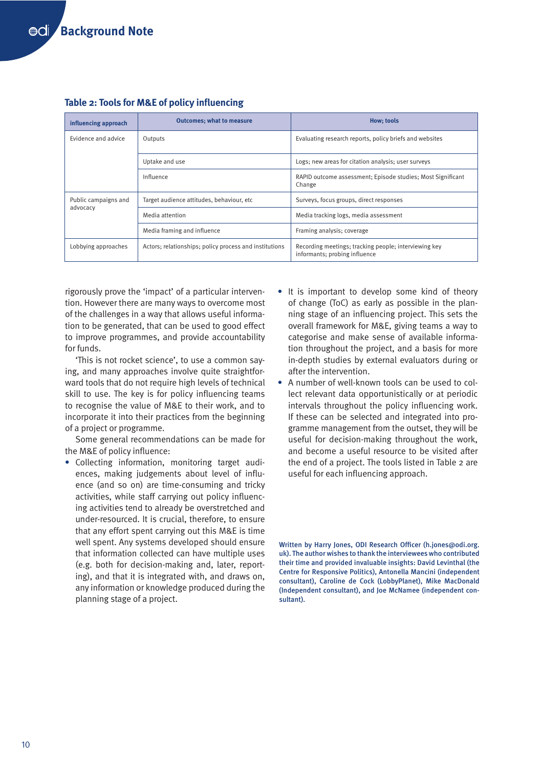| influencing approach             | <b>Outcomes: what to measure</b>                       | <b>How: tools</b>                                                                      |
|----------------------------------|--------------------------------------------------------|----------------------------------------------------------------------------------------|
| Evidence and advice              | Outputs                                                | Evaluating research reports, policy briefs and websites                                |
|                                  | Uptake and use                                         | Logs; new areas for citation analysis; user surveys                                    |
|                                  | Influence                                              | RAPID outcome assessment; Episode studies; Most Significant<br>Change                  |
| Public campaigns and<br>advocacy | Target audience attitudes, behaviour, etc              | Surveys, focus groups, direct responses                                                |
|                                  | Media attention                                        | Media tracking logs, media assessment                                                  |
|                                  | Media framing and influence                            | Framing analysis; coverage                                                             |
| Lobbying approaches              | Actors; relationships; policy process and institutions | Recording meetings; tracking people; interviewing key<br>informants; probing influence |

# **Table 2: Tools for M&E of policy influencing**

rigorously prove the 'impact' of a particular intervention. However there are many ways to overcome most of the challenges in a way that allows useful information to be generated, that can be used to good effect to improve programmes, and provide accountability for funds.

'This is not rocket science', to use a common saying, and many approaches involve quite straightforward tools that do not require high levels of technical skill to use. The key is for policy influencing teams to recognise the value of M&E to their work, and to incorporate it into their practices from the beginning of a project or programme.

Some general recommendations can be made for the M&E of policy influence:

 Collecting information, monitoring target audiences, making judgements about level of influence (and so on) are time-consuming and tricky activities, while staff carrying out policy influencing activities tend to already be overstretched and under-resourced. It is crucial, therefore, to ensure that any effort spent carrying out this M&E is time well spent. Any systems developed should ensure that information collected can have multiple uses (e.g. both for decision-making and, later, reporting), and that it is integrated with, and draws on, any information or knowledge produced during the planning stage of a project.

- It is important to develop some kind of theory of change (ToC) as early as possible in the planning stage of an influencing project. This sets the overall framework for M&E, giving teams a way to categorise and make sense of available information throughout the project, and a basis for more in-depth studies by external evaluators during or after the intervention.
- A number of well-known tools can be used to collect relevant data opportunistically or at periodic intervals throughout the policy influencing work. If these can be selected and integrated into programme management from the outset, they will be useful for decision-making throughout the work, and become a useful resource to be visited after the end of a project. The tools listed in Table 2 are useful for each influencing approach.

Written by Harry Jones, ODI Research Officer (h.jones@odi.org. uk). The author wishes to thank the interviewees who contributed their time and provided invaluable insights: David Levinthal (the Centre for Responsive Politics), Antonella Mancini (independent consultant), Caroline de Cock (LobbyPlanet), Mike MacDonald (Independent consultant), and Joe McNamee (independent consultant).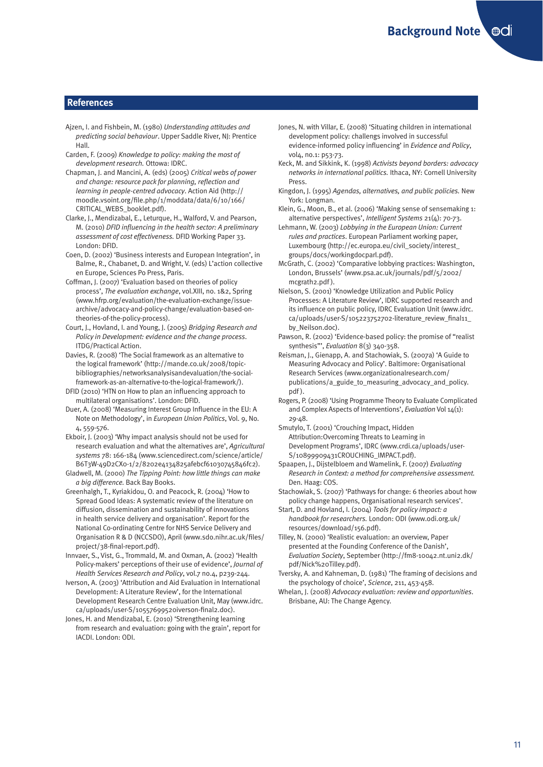## **References**

- Ajzen, I. and Fishbein, M. (1980) *Understanding attitudes and predicting social behaviour*. Upper Saddle River, NJ: Prentice Hall.
- Carden, F. (2009) *Knowledge to policy: making the most of development research.* Ottowa: IDRC.
- Chapman, J. and Mancini, A. (eds) (2005) *Critical webs of power and change: resource pack for planning, reflection and learning in people-centred advocacy*. Action Aid (http:// moodle.vsoint.org/file.php/1/moddata/data/6/10/166/ CRITICAL\_WEBS\_booklet.pdf).
- Clarke, J., Mendizabal, E., Leturque, H., Walford, V. and Pearson, M. (2010) *DFID influencing in the health sector: A preliminary assessment of cost effectiveness.* DFID Working Paper 33. London: DFID.
- Coen, D. (2002) 'Business interests and European Integration', in Balme, R., Chabanet, D. and Wright, V. (eds) L'action collective en Europe, Sciences Po Press, Paris.
- Coffman, J. (2007) 'Evaluation based on theories of policy process', *The evaluation exchange*, vol.XIII, no. 1&2, Spring (www.hfrp.org/evaluation/the-evaluation-exchange/issuearchive/advocacy-and-policy-change/evaluation-based-ontheories-of-the-policy-process).
- Court, J., Hovland, I. and Young, J. (2005) *Bridging Research and Policy in Development: evidence and the change process*. ITDG/Practical Action.
- Davies, R. (2008) 'The Social framework as an alternative to the logical framework' (http://mande.co.uk/2008/topicbibliographies/networksanalysisandevaluation/the-socialframework-as-an-alternative-to-the-logical-framework/).
- DFID (2010) 'HTN on How to plan an influencing approach to multilateral organisations'. London: DFID.
- Duer, A. (2008) 'Measuring Interest Group Influence in the EU: A Note on Methodology', in *European Union Politics*, Vol. 9, No. 4, 559-576.
- Ekboir, J. (2003) 'Why impact analysis should not be used for research evaluation and what the alternatives are', *Agricultural systems* 78: 166-184 (www.sciencedirect.com/science/article/ B6T3W-49D2CX0-1/2/8202e4134825afebcf61030745846fc2).
- Gladwell, M. (2000) *The Tipping Point: how little things can make a big difference.* Back Bay Books.
- Greenhalgh, T., Kyriakidou, O. and Peacock, R. (2004) 'How to Spread Good Ideas: A systematic review of the literature on diffusion, dissemination and sustainability of innovations in health service delivery and organisation'. Report for the National Co-ordinating Centre for NHS Service Delivery and Organisation R & D (NCCSDO), April (www.sdo.nihr.ac.uk/files/ project/38-final-report.pdf).
- Innvaer, S., Vist, G., Trommald, M. and Oxman, A. (2002) 'Health Policy-makers' perceptions of their use of evidence', *Journal of Health Services Research and Policy*, vol.7 no.4, p239-244.
- Iverson, A. (2003) 'Attribution and Aid Evaluation in International Development: A Literature Review', for the International Development Research Centre Evaluation Unit, May (www.idrc. ca/uploads/user-S/10557699520iverson-final2.doc).
- Jones, H. and Mendizabal, E. (2010) 'Strengthening learning from research and evaluation: going with the grain', report for IACDI. London: ODI.
- Jones, N. with Villar, E. (2008) 'Situating children in international development policy: challengs involved in successful evidence-informed policy influencing' in *Evidence and Policy*, vol4, no.1: p53-73.
- Keck, M. and Sikkink, K. (1998) *Activists beyond borders: advocacy networks in international politics.* Ithaca, NY: Cornell University Press.
- Kingdon, J. (1995) *Agendas, alternatives, and public policies.* New York: Longman.
- Klein, G., Moon, B., et al. (2006) 'Making sense of sensemaking 1: alternative perspectives', *Intelligent Systems* 21(4): 70-73.

Lehmann, W. (2003) *Lobbying in the European Union: Current rules and practices*. European Parliament working paper, Luxembourg (http://ec.europa.eu/civil society/interest groups/docs/workingdocparl.pdf).

- McGrath, C. (2002) 'Comparative lobbying practices: Washington, London, Brussels' (www.psa.ac.uk/journals/pdf/5/2002/ mcgrath2.pdf ).
- Nielson, S. (2001) 'Knowledge Utilization and Public Policy Processes: A Literature Review', IDRC supported research and its influence on public policy, IDRC Evaluation Unit (www.idrc. ca/uploads/user-S/105223752702-literature\_review\_final11\_ by\_Neilson.doc).
- Pawson, R. (2002) 'Evidence-based policy: the promise of "realist synthesis"', *Evaluation* 8(3) 340-358.
- Reisman, J., Gienapp, A. and Stachowiak, S. (2007a) 'A Guide to Measuring Advocacy and Policy'. Baltimore: Organisational Research Services (www.organizationalresearch.com/ publications/a\_guide\_to\_measuring\_advocacy\_and\_policy. pdf ).
- Rogers, P. (2008) 'Using Programme Theory to Evaluate Complicated and Complex Aspects of Interventions', *Evaluation* Vol 14(1): 29-48.
- Smutylo, T. (2001) 'Crouching Impact, Hidden Attribution:Overcoming Threats to Learning in Development Programs', IDRC (www.crdi.ca/uploads/user-S/10899909431CROUCHING\_IMPACT.pdf).
- Spaapen, J., Dijstelbloem and Wamelink, F. (2007) *Evaluating Research in Context: a method for comprehensive assessment.* Den. Haag: COS.
- Stachowiak, S. (2007) 'Pathways for change: 6 theories about how policy change happens, Organisational research services'.
- Start, D. and Hovland, I. (2004) *Tools for policy impact: a handbook for researchers.* London: ODI (www.odi.org.uk/ resources/download/156.pdf).
- Tilley, N. (2000) 'Realistic evaluation: an overview, Paper presented at the Founding Conference of the Danish', *Evaluation Society*, September (http://fm8-10042.nt.uni2.dk/ pdf/Nick%2oTilley.pdf).
- Tversky, A. and Kahneman, D. (1981) 'The framing of decisions and the psychology of choice', *Science*, 211, 453-458.
- Whelan, J. (2008) *Advocacy evaluation: review and opportunities*. Brisbane, AU: The Change Agency.